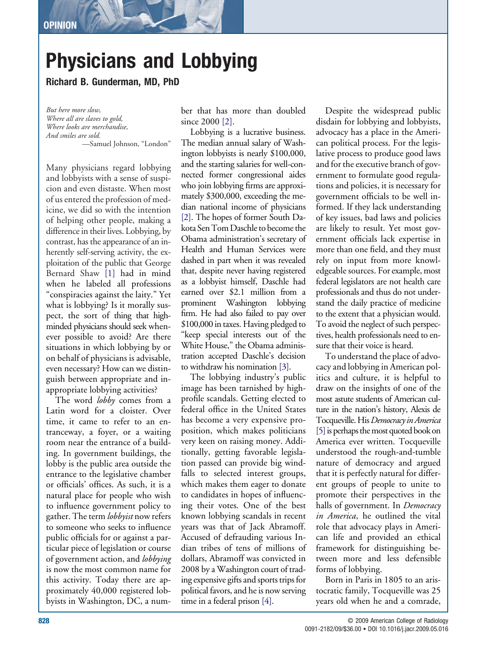## **Physicians and Lobbying**

**Richard B. Gunderman, MD, PhD**

*But here more slow, Where all are slaves to gold, Where looks are merchandise, And smiles are sold.*

—Samuel Johnson, "London"

Many physicians regard lobbying and lobbyists with a sense of suspicion and even distaste. When most of us entered the profession of medicine, we did so with the intention of helping other people, making a difference in their lives. Lobbying, by contrast, has the appearance of an inherently self-serving activity, the exploitation of the public that George Bernard Shaw [\[1\]](#page-2-0) had in mind when he labeled all professions "conspiracies against the laity." Yet what is lobbying? Is it morally suspect, the sort of thing that highminded physicians should seek whenever possible to avoid? Are there situations in which lobbying by or on behalf of physicians is advisable, even necessary? How can we distinguish between appropriate and inappropriate lobbying activities?

The word *lobby* comes from a Latin word for a cloister. Over time, it came to refer to an entranceway, a foyer, or a waiting room near the entrance of a building. In government buildings, the lobby is the public area outside the entrance to the legislative chamber or officials' offices. As such, it is a natural place for people who wish to influence government policy to gather. The term *lobbyist* now refers to someone who seeks to influence public officials for or against a particular piece of legislation or course of government action, and *lobbying* is now the most common name for this activity. Today there are approximately 40,000 registered lobbyists in Washington, DC, a num-

ber that has more than doubled since 2000 [\[2\].](#page-2-0)

Lobbying is a lucrative business. The median annual salary of Washington lobbyists is nearly \$100,000, and the starting salaries for well-connected former congressional aides who join lobbying firms are approximately \$300,000, exceeding the median national income of physicians [\[2\].](#page-2-0) The hopes of former South Dakota Sen Tom Daschle to become the Obama administration's secretary of Health and Human Services were dashed in part when it was revealed that, despite never having registered as a lobbyist himself, Daschle had earned over \$2.1 million from a prominent Washington lobbying firm. He had also failed to pay over \$100,000 in taxes. Having pledged to "keep special interests out of the White House," the Obama administration accepted Daschle's decision to withdraw his nomination [\[3\].](#page-2-0)

The lobbying industry's public image has been tarnished by highprofile scandals. Getting elected to federal office in the United States has become a very expensive proposition, which makes politicians very keen on raising money. Additionally, getting favorable legislation passed can provide big windfalls to selected interest groups, which makes them eager to donate to candidates in hopes of influencing their votes. One of the best known lobbying scandals in recent years was that of Jack Abramoff. Accused of defrauding various Indian tribes of tens of millions of dollars, Abramoff was convicted in 2008 by a Washington court of trading expensive gifts and sports trips for political favors, and he is now serving time in a federal prison [\[4\].](#page-2-0)

Despite the widespread public disdain for lobbying and lobbyists, advocacy has a place in the American political process. For the legislative process to produce good laws and for the executive branch of government to formulate good regulations and policies, it is necessary for government officials to be well informed. If they lack understanding of key issues, bad laws and policies are likely to result. Yet most government officials lack expertise in more than one field, and they must rely on input from more knowledgeable sources. For example, most federal legislators are not health care professionals and thus do not understand the daily practice of medicine to the extent that a physician would. To avoid the neglect of such perspectives, health professionals need to ensure that their voice is heard.

To understand the place of advocacy and lobbying in American politics and culture, it is helpful to draw on the insights of one of the most astute students of American culture in the nation's history, Alexis de Tocqueville. His*Democracyin America* [\[5\]](#page-2-0) is perhaps the most quoted book on America ever written. Tocqueville understood the rough-and-tumble nature of democracy and argued that it is perfectly natural for different groups of people to unite to promote their perspectives in the halls of government. In *Democracy in America*, he outlined the vital role that advocacy plays in American life and provided an ethical framework for distinguishing between more and less defensible forms of lobbying.

Born in Paris in 1805 to an aristocratic family, Tocqueville was 25 years old when he and a comrade,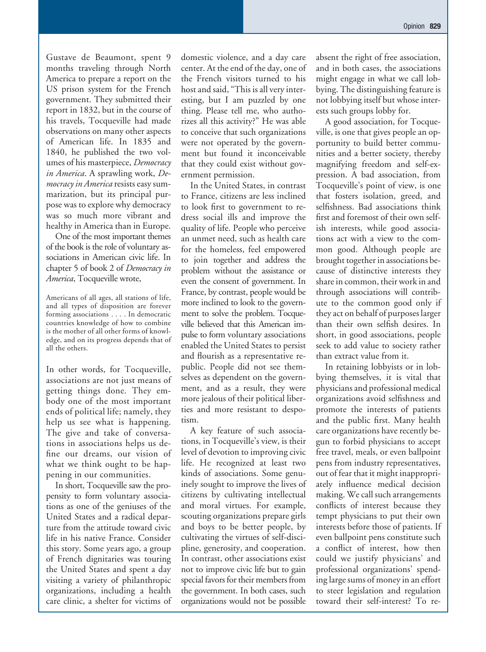Gustave de Beaumont, spent 9 months traveling through North America to prepare a report on the US prison system for the French government. They submitted their report in 1832, but in the course of his travels, Tocqueville had made observations on many other aspects of American life. In 1835 and 1840, he published the two volumes of his masterpiece, *Democracy in America*. A sprawling work, *Democracy in America* resists easy summarization, but its principal purpose was to explore why democracy was so much more vibrant and healthy in America than in Europe.

One of the most important themes of the book is the role of voluntary associations in American civic life. In chapter 5 of book 2 of *Democracy in America*, Tocqueville wrote,

Americans of all ages, all stations of life, and all types of disposition are forever forming associations . . . . In democratic countries knowledge of how to combine is the mother of all other forms of knowledge, and on its progress depends that of all the others.

In other words, for Tocqueville, associations are not just means of getting things done. They embody one of the most important ends of political life; namely, they help us see what is happening. The give and take of conversations in associations helps us define our dreams, our vision of what we think ought to be happening in our communities.

In short, Tocqueville saw the propensity to form voluntary associations as one of the geniuses of the United States and a radical departure from the attitude toward civic life in his native France. Consider this story. Some years ago, a group of French dignitaries was touring the United States and spent a day visiting a variety of philanthropic organizations, including a health care clinic, a shelter for victims of

domestic violence, and a day care center. At the end of the day, one of the French visitors turned to his host and said, "This is all very interesting, but I am puzzled by one thing. Please tell me, who authorizes all this activity?" He was able to conceive that such organizations were not operated by the government but found it inconceivable that they could exist without government permission.

In the United States, in contrast to France, citizens are less inclined to look first to government to redress social ills and improve the quality of life. People who perceive an unmet need, such as health care for the homeless, feel empowered to join together and address the problem without the assistance or even the consent of government. In France, by contrast, people would be more inclined to look to the government to solve the problem. Tocqueville believed that this American impulse to form voluntary associations enabled the United States to persist and flourish as a representative republic. People did not see themselves as dependent on the government, and as a result, they were more jealous of their political liberties and more resistant to despotism.

A key feature of such associations, in Tocqueville's view, is their level of devotion to improving civic life. He recognized at least two kinds of associations. Some genuinely sought to improve the lives of citizens by cultivating intellectual and moral virtues. For example, scouting organizations prepare girls and boys to be better people, by cultivating the virtues of self-discipline, generosity, and cooperation. In contrast, other associations exist not to improve civic life but to gain special favors for their members from the government. In both cases, such organizations would not be possible

absent the right of free association, and in both cases, the associations might engage in what we call lobbying. The distinguishing feature is not lobbying itself but whose interests such groups lobby for.

A good association, for Tocqueville, is one that gives people an opportunity to build better communities and a better society, thereby magnifying freedom and self-expression. A bad association, from Tocqueville's point of view, is one that fosters isolation, greed, and selfishness. Bad associations think first and foremost of their own selfish interests, while good associations act with a view to the common good. Although people are brought together in associations because of distinctive interests they share in common, their work in and through associations will contribute to the common good only if they act on behalf of purposes larger than their own selfish desires. In short, in good associations, people seek to add value to society rather than extract value from it.

In retaining lobbyists or in lobbying themselves, it is vital that physicians and professional medical organizations avoid selfishness and promote the interests of patients and the public first. Many health care organizations have recently begun to forbid physicians to accept free travel, meals, or even ballpoint pens from industry representatives, out of fear that it might inappropriately influence medical decision making. We call such arrangements conflicts of interest because they tempt physicians to put their own interests before those of patients. If even ballpoint pens constitute such a conflict of interest, how then could we justify physicians' and professional organizations' spending large sums of money in an effort to steer legislation and regulation toward their self-interest? To re